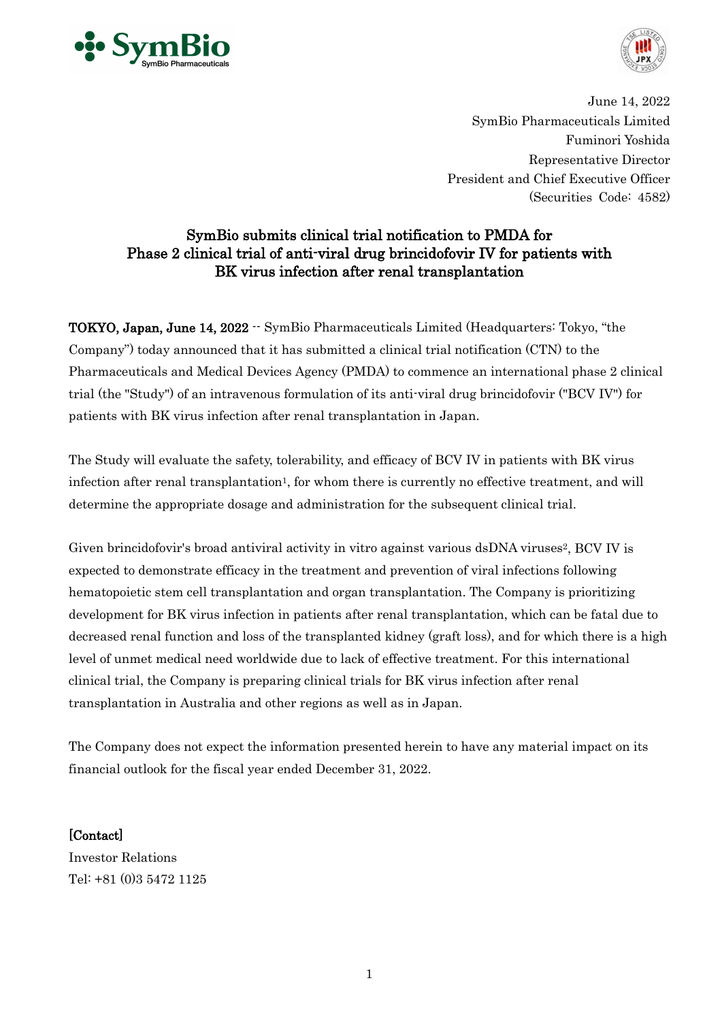



June 14, 2022 SymBio Pharmaceuticals Limited Fuminori Yoshida Representative Director President and Chief Executive Officer (Securities Code: 4582)

# SymBio submits clinical trial notification to PMDA for Phase 2 clinical trial of anti-viral drug brincidofovir IV for patients with BK virus infection after renal transplantation

TOKYO, Japan, June 14, 2022 -- SymBio Pharmaceuticals Limited (Headquarters: Tokyo, "the Company") today announced that it has submitted a clinical trial notification (CTN) to the Pharmaceuticals and Medical Devices Agency (PMDA) to commence an international phase 2 clinical trial (the "Study") of an intravenous formulation of its anti-viral drug brincidofovir ("BCV IV") for patients with BK virus infection after renal transplantation in Japan.

The Study will evaluate the safety, tolerability, and efficacy of BCV IV in patients with BK virus infection after renal transplantation<sup>1</sup>, for whom there is currently no effective treatment, and will determine the appropriate dosage and administration for the subsequent clinical trial.

Given brincidofovir's broad antiviral activity in vitro against various dsDNA viruses<sup>2</sup>, BCV IV is expected to demonstrate efficacy in the treatment and prevention of viral infections following hematopoietic stem cell transplantation and organ transplantation. The Company is prioritizing development for BK virus infection in patients after renal transplantation, which can be fatal due to decreased renal function and loss of the transplanted kidney (graft loss), and for which there is a high level of unmet medical need worldwide due to lack of effective treatment. For this international clinical trial, the Company is preparing clinical trials for BK virus infection after renal transplantation in Australia and other regions as well as in Japan.

The Company does not expect the information presented herein to have any material impact on its financial outlook for the fiscal year ended December 31, 2022.

[Contact]

Investor Relations Tel: +81 (0)3 5472 1125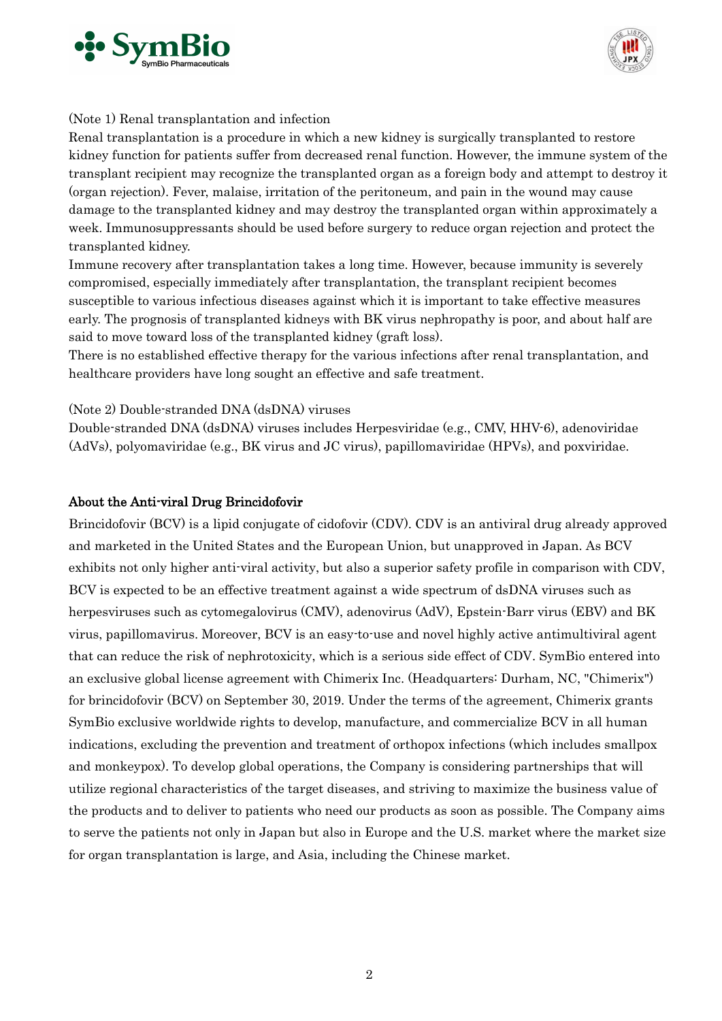



#### (Note 1) Renal transplantation and infection

Renal transplantation is a procedure in which a new kidney is surgically transplanted to restore kidney function for patients suffer from decreased renal function. However, the immune system of the transplant recipient may recognize the transplanted organ as a foreign body and attempt to destroy it (organ rejection). Fever, malaise, irritation of the peritoneum, and pain in the wound may cause damage to the transplanted kidney and may destroy the transplanted organ within approximately a week. Immunosuppressants should be used before surgery to reduce organ rejection and protect the transplanted kidney.

Immune recovery after transplantation takes a long time. However, because immunity is severely compromised, especially immediately after transplantation, the transplant recipient becomes susceptible to various infectious diseases against which it is important to take effective measures early. The prognosis of transplanted kidneys with BK virus nephropathy is poor, and about half are said to move toward loss of the transplanted kidney (graft loss).

There is no established effective therapy for the various infections after renal transplantation, and healthcare providers have long sought an effective and safe treatment.

### (Note 2) Double-stranded DNA (dsDNA) viruses

Double-stranded DNA (dsDNA) viruses includes Herpesviridae (e.g., CMV, HHV-6), adenoviridae (AdVs), polyomaviridae (e.g., BK virus and JC virus), papillomaviridae (HPVs), and poxviridae.

#### About the Anti-viral Drug Brincidofovir

Brincidofovir (BCV) is a lipid conjugate of cidofovir (CDV). CDV is an antiviral drug already approved and marketed in the United States and the European Union, but unapproved in Japan. As BCV exhibits not only higher anti-viral activity, but also a superior safety profile in comparison with CDV, BCV is expected to be an effective treatment against a wide spectrum of dsDNA viruses such as herpesviruses such as cytomegalovirus (CMV), adenovirus (AdV), Epstein-Barr virus (EBV) and BK virus, papillomavirus. Moreover, BCV is an easy-to-use and novel highly active antimultiviral agent that can reduce the risk of nephrotoxicity, which is a serious side effect of CDV. SymBio entered into an exclusive global license agreement with Chimerix Inc. (Headquarters: Durham, NC, "Chimerix") for brincidofovir (BCV) on September 30, 2019. Under the terms of the agreement, Chimerix grants SymBio exclusive worldwide rights to develop, manufacture, and commercialize BCV in all human indications, excluding the prevention and treatment of orthopox infections (which includes smallpox and monkeypox). To develop global operations, the Company is considering partnerships that will utilize regional characteristics of the target diseases, and striving to maximize the business value of the products and to deliver to patients who need our products as soon as possible. The Company aims to serve the patients not only in Japan but also in Europe and the U.S. market where the market size for organ transplantation is large, and Asia, including the Chinese market.